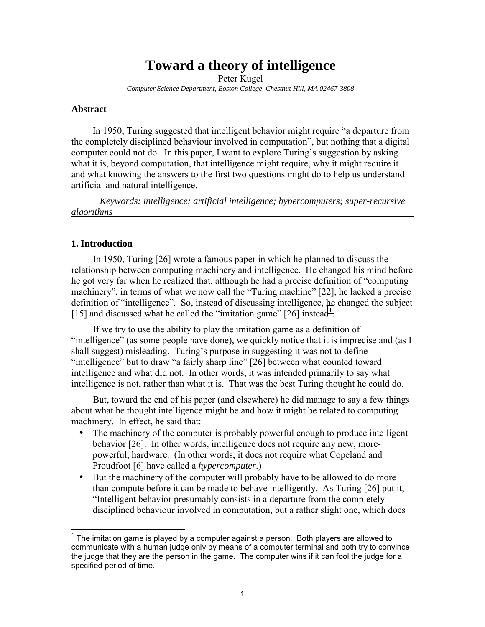# **Toward a theory of intelligence**

Peter Kugel *Computer Science Department, Boston College, Chestnut Hill, MA 02467-3808* 

#### **Abstract**

 $\overline{a}$ 

In 1950, Turing suggested that intelligent behavior might require "a departure from the completely disciplined behaviour involved in computation", but nothing that a digital computer could not do. In this paper, I want to explore Turing's suggestion by asking what it is, beyond computation, that intelligence might require, why it might require it and what knowing the answers to the first two questions might do to help us understand artificial and natural intelligence.

 *Keywords: intelligence; artificial intelligence; hypercomputers; super-recursive algorithms* 

## **1. Introduction**

l

In 1950, Turing [26] wrote a famous paper in which he planned to discuss the relationship between computing machinery and intelligence. He changed his mind before he got very far when he realized that, although he had a precise definition of "computing" machinery", in terms of what we now call the "Turing machine" [22], he lacked a precise definition of "intelligence". So, instead of discussing intelligence, he changed the subject [15] and discussed what he called the "imitation game"  $[26]$  instead<sup>1</sup>.

If we try to use the ability to play the imitation game as a definition of  $\dddot{\text{int}}$  intelligence" (as some people have done), we quickly notice that it is imprecise and (as I shall suggest) misleading. Turing's purpose in suggesting it was not to define  $\lq$ intelligence" but to draw  $\lq$ a fairly sharp line" [26] between what counted toward intelligence and what did not. In other words, it was intended primarily to say what intelligence is not, rather than what it is. That was the best Turing thought he could do.

But, toward the end of his paper (and elsewhere) he did manage to say a few things about what he thought intelligence might be and how it might be related to computing machinery. In effect, he said that:

- The machinery of the computer is probably powerful enough to produce intelligent behavior [26]. In other words, intelligence does not require any new, morepowerful, hardware. (In other words, it does not require what Copeland and Proudfoot [6] have called a *hypercomputer*.)
- But the machinery of the computer will probably have to be allowed to do more than compute before it can be made to behave intelligently. As Turing [26] put it, "Intelligent behavior presumably consists in a departure from the completely disciplined behaviour involved in computation, but a rather slight one, which does

 $1$  The imitation game is played by a computer against a person. Both players are allowed to communicate with a human judge only by means of a computer terminal and both try to convince the judge that they are the person in the game. The computer wins if it can fool the judge for a specified period of time.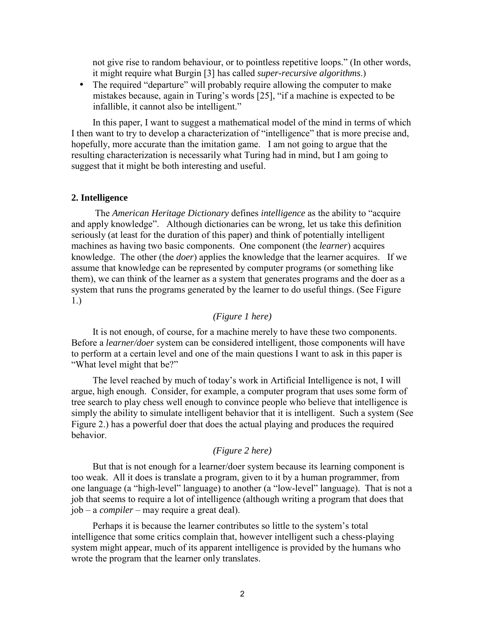not give rise to random behaviour, or to pointless repetitive loops." (In other words, it might require what Burgin [3] has called *super-recursive algorithms*.)

• The required "departure" will probably require allowing the computer to make mistakes because, again in Turing's words [25], "if a machine is expected to be infallible, it cannot also be intelligent."

In this paper, I want to suggest a mathematical model of the mind in terms of which I then want to try to develop a characterization of "intelligence" that is more precise and, hopefully, more accurate than the imitation game. I am not going to argue that the resulting characterization is necessarily what Turing had in mind, but I am going to suggest that it might be both interesting and useful.

#### **2. Intelligence**

The *American Heritage Dictionary* defines *intelligence* as the ability to "acquire" and apply knowledge". Although dictionaries can be wrong, let us take this definition seriously (at least for the duration of this paper) and think of potentially intelligent machines as having two basic components. One component (the *learner*) acquires knowledge. The other (the *doer*) applies the knowledge that the learner acquires. If we assume that knowledge can be represented by computer programs (or something like them), we can think of the learner as a system that generates programs and the doer as a system that runs the programs generated by the learner to do useful things. (See Figure 1.)

#### *(Figure 1 here)*

It is not enough, of course, for a machine merely to have these two components. Before a *learner/doer* system can be considered intelligent, those components will have to perform at a certain level and one of the main questions I want to ask in this paper is "What level might that be?"

The level reached by much of today's work in Artificial Intelligence is not, I will argue, high enough. Consider, for example, a computer program that uses some form of tree search to play chess well enough to convince people who believe that intelligence is simply the ability to simulate intelligent behavior that it is intelligent. Such a system (See Figure 2.) has a powerful doer that does the actual playing and produces the required behavior.

# *(Figure 2 here)*

But that is not enough for a learner/doer system because its learning component is too weak. All it does is translate a program, given to it by a human programmer, from one language (a "high-level" language) to another (a "low-level" language). That is not a job that seems to require a lot of intelligence (although writing a program that does that job – a *compiler* – may require a great deal).

Perhaps it is because the learner contributes so little to the system's total intelligence that some critics complain that, however intelligent such a chess-playing system might appear, much of its apparent intelligence is provided by the humans who wrote the program that the learner only translates.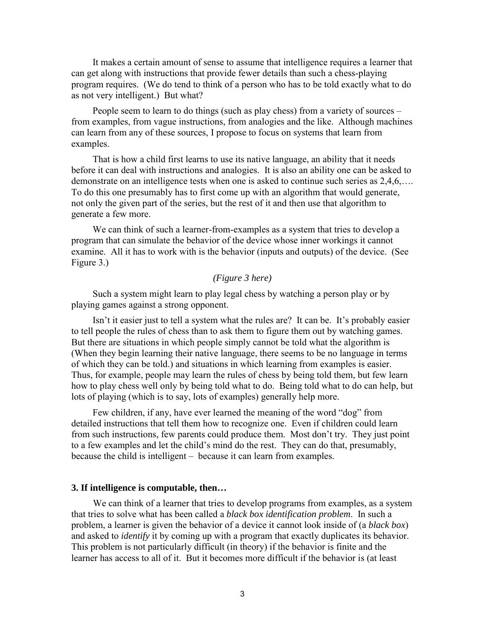It makes a certain amount of sense to assume that intelligence requires a learner that can get along with instructions that provide fewer details than such a chess-playing program requires. (We do tend to think of a person who has to be told exactly what to do as not very intelligent.) But what?

People seem to learn to do things (such as play chess) from a variety of sources  $$ from examples, from vague instructions, from analogies and the like. Although machines can learn from any of these sources, I propose to focus on systems that learn from examples.

That is how a child first learns to use its native language, an ability that it needs before it can deal with instructions and analogies. It is also an ability one can be asked to demonstrate on an intelligence tests when one is asked to continue such series as  $2.4.6\dots$ To do this one presumably has to first come up with an algorithm that would generate, not only the given part of the series, but the rest of it and then use that algorithm to generate a few more.

We can think of such a learner-from-examples as a system that tries to develop a program that can simulate the behavior of the device whose inner workings it cannot examine. All it has to work with is the behavior (inputs and outputs) of the device. (See Figure 3.)

# *(Figure 3 here)*

Such a system might learn to play legal chess by watching a person play or by playing games against a strong opponent.

Isn't it easier just to tell a system what the rules are? It can be. It's probably easier to tell people the rules of chess than to ask them to figure them out by watching games. But there are situations in which people simply cannot be told what the algorithm is (When they begin learning their native language, there seems to be no language in terms of which they can be told.) and situations in which learning from examples is easier. Thus, for example, people may learn the rules of chess by being told them, but few learn how to play chess well only by being told what to do. Being told what to do can help, but lots of playing (which is to say, lots of examples) generally help more.

Few children, if any, have ever learned the meaning of the word "dog" from detailed instructions that tell them how to recognize one. Even if children could learn from such instructions, few parents could produce them. Most don't try. They just point to a few examples and let the child's mind do the rest. They can do that, presumably, because the child is intelligent – because it can learn from examples.

## **3. If intelligence is computable, then…**

We can think of a learner that tries to develop programs from examples, as a system that tries to solve what has been called a *black box identification problem*. In such a problem, a learner is given the behavior of a device it cannot look inside of (a *black box*) and asked to *identify* it by coming up with a program that exactly duplicates its behavior. This problem is not particularly difficult (in theory) if the behavior is finite and the learner has access to all of it. But it becomes more difficult if the behavior is (at least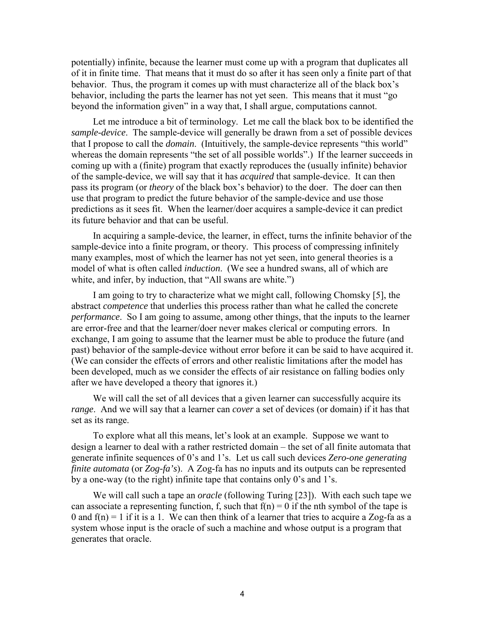potentially) infinite, because the learner must come up with a program that duplicates all of it in finite time. That means that it must do so after it has seen only a finite part of that behavior. Thus, the program it comes up with must characterize all of the black box's behavior, including the parts the learner has not yet seen. This means that it must "go beyond the information given" in a way that, I shall argue, computations cannot.

Let me introduce a bit of terminology. Let me call the black box to be identified the *sample-device*. The sample-device will generally be drawn from a set of possible devices that I propose to call the *domain*. (Intuitively, the sample-device represents "this world" whereas the domain represents "the set of all possible worlds".) If the learner succeeds in coming up with a (finite) program that exactly reproduces the (usually infinite) behavior of the sample-device, we will say that it has *acquired* that sample-device. It can then pass its program (or *theory* of the black box's behavior) to the doer. The doer can then use that program to predict the future behavior of the sample-device and use those predictions as it sees fit. When the learner/doer acquires a sample-device it can predict its future behavior and that can be useful.

In acquiring a sample-device, the learner, in effect, turns the infinite behavior of the sample-device into a finite program, or theory. This process of compressing infinitely many examples, most of which the learner has not yet seen, into general theories is a model of what is often called *induction*. (We see a hundred swans, all of which are white, and infer, by induction, that "All swans are white.")

I am going to try to characterize what we might call, following Chomsky [5], the abstract *competence* that underlies this process rather than what he called the concrete *performance*. So I am going to assume, among other things, that the inputs to the learner are error-free and that the learner/doer never makes clerical or computing errors. In exchange, I am going to assume that the learner must be able to produce the future (and past) behavior of the sample-device without error before it can be said to have acquired it. (We can consider the effects of errors and other realistic limitations after the model has been developed, much as we consider the effects of air resistance on falling bodies only after we have developed a theory that ignores it.)

We will call the set of all devices that a given learner can successfully acquire its *range*. And we will say that a learner can *cover* a set of devices (or domain) if it has that set as its range.

To explore what all this means, let's look at an example. Suppose we want to design a learner to deal with a rather restricted domain – the set of all finite automata that generate infinite sequences of 0's and 1's. Let us call such devices *Zero-one generating finite automata* (or *Zog-fa's*). A Zog-fa has no inputs and its outputs can be represented by a one-way (to the right) infinite tape that contains only  $0$ 's and  $1$ 's.

We will call such a tape an *oracle* (following Turing [23]). With each such tape we can associate a representing function, f, such that  $f(n) = 0$  if the nth symbol of the tape is 0 and  $f(n) = 1$  if it is a 1. We can then think of a learner that tries to acquire a Zog-fa as a system whose input is the oracle of such a machine and whose output is a program that generates that oracle.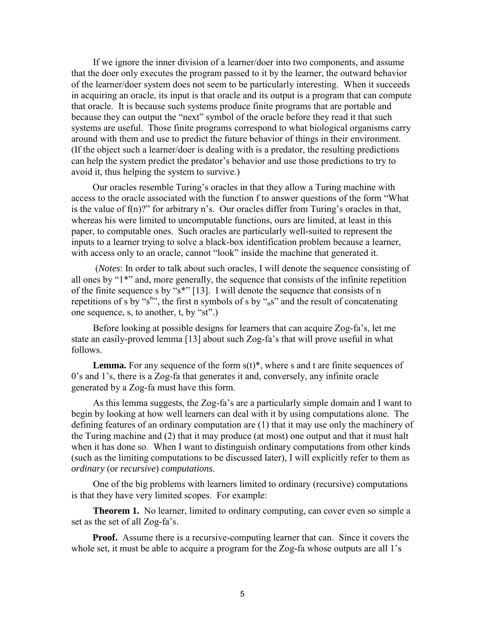If we ignore the inner division of a learner/doer into two components, and assume that the doer only executes the program passed to it by the learner, the outward behavior of the learner/doer system does not seem to be particularly interesting. When it succeeds in acquiring an oracle, its input is that oracle and its output is a program that can compute that oracle. It is because such systems produce finite programs that are portable and because they can output the "next" symbol of the oracle before they read it that such systems are useful. Those finite programs correspond to what biological organisms carry around with them and use to predict the future behavior of things in their environment. (If the object such a learner/doer is dealing with is a predator, the resulting predictions can help the system predict the predator's behavior and use those predictions to try to avoid it, thus helping the system to survive.)

Our oracles resemble Turing's oracles in that they allow a Turing machine with access to the oracle associated with the function f to answer questions of the form "What is the value of  $f(n)$ ?" for arbitrary n's. Our oracles differ from Turing's oracles in that, whereas his were limited to uncomputable functions, ours are limited, at least in this paper, to computable ones. Such oracles are particularly well-suited to represent the inputs to a learner trying to solve a black-box identification problem because a learner, with access only to an oracle, cannot "look" inside the machine that generated it.

 (*Notes*: In order to talk about such oracles, I will denote the sequence consisting of all ones by  $1*$ " and, more generally, the sequence that consists of the infinite repetition of the finite sequence s by " $s^*$ " [13]. I will denote the sequence that consists of n repetitions of s by "s<sup>n</sup>", the first n symbols of s by "<sub>n</sub>s" and the result of concatenating one sequence, s, to another, t, by " $st$ ".)

Before looking at possible designs for learners that can acquire Zog-faís, let me state an easily-proved lemma [13] about such Zog-fa's that will prove useful in what follows.

**Lemma.** For any sequence of the form  $s(t)$ <sup>\*</sup>, where s and t are finite sequences of 0's and 1's, there is a Zog-fa that generates it and, conversely, any infinite oracle generated by a Zog-fa must have this form.

As this lemma suggests, the Zog-fa's are a particularly simple domain and I want to begin by looking at how well learners can deal with it by using computations alone. The defining features of an ordinary computation are (1) that it may use only the machinery of the Turing machine and (2) that it may produce (at most) one output and that it must halt when it has done so. When I want to distinguish ordinary computations from other kinds (such as the limiting computations to be discussed later), I will explicitly refer to them as *ordinary* (or *recursive*) *computations*.

One of the big problems with learners limited to ordinary (recursive) computations is that they have very limited scopes. For example:

**Theorem 1.** No learner, limited to ordinary computing, can cover even so simple a set as the set of all Zog-fa's.

**Proof.** Assume there is a recursive-computing learner that can. Since it covers the whole set, it must be able to acquire a program for the Zog-fa whose outputs are all 1's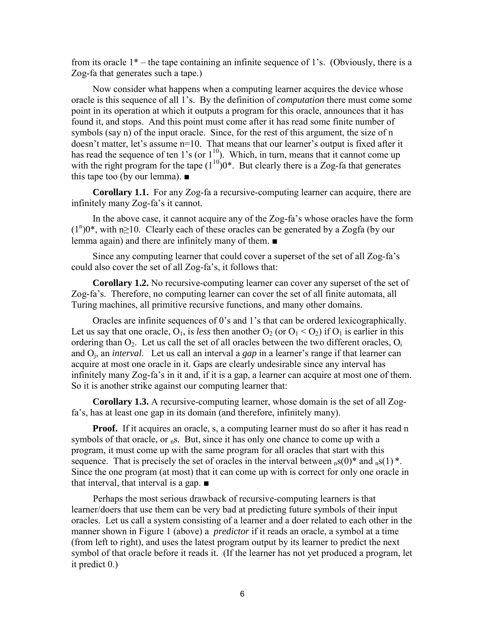from its oracle  $1^*$  – the tape containing an infinite sequence of 1's. (Obviously, there is a Zog-fa that generates such a tape.)

Now consider what happens when a computing learner acquires the device whose oracle is this sequence of all 1's. By the definition of *computation* there must come some point in its operation at which it outputs a program for this oracle, announces that it has found it, and stops. And this point must come after it has read some finite number of symbols (say n) of the input oracle. Since, for the rest of this argument, the size of n doesn't matter, let's assume  $n=10$ . That means that our learner's output is fixed after it has read the sequence of ten 1's (or  $1^{10}$ ). Which, in turn, means that it cannot come up with the right program for the tape  $(1^{10})0^*$ . But clearly there is a Zog-fa that generates this tape too (by our lemma). ■

**Corollary 1.1.** For any Zog-fa a recursive-computing learner can acquire, there are infinitely many Zog-fa's it cannot.

In the above case, it cannot acquire any of the Zog-fa's whose oracles have the form  $(1^n)0^*$ , with n≥10. Clearly each of these oracles can be generated by a Zogfa (by our lemma again) and there are infinitely many of them. ■

Since any computing learner that could cover a superset of the set of all Zog-faís could also cover the set of all Zog-fa's, it follows that:

**Corollary 1.2.** No recursive-computing learner can cover any superset of the set of Zog-faís. Therefore, no computing learner can cover the set of all finite automata, all Turing machines, all primitive recursive functions, and many other domains.

Oracles are infinite sequences of 0's and 1's that can be ordered lexicographically. Let us say that one oracle,  $O_1$ , is *less* then another  $O_2$  (or  $O_1 < O_2$ ) if  $O_1$  is earlier in this ordering than  $O_2$ . Let us call the set of all oracles between the two different oracles,  $O_i$ and O<sub>i</sub>, an *interval*. Let us call an interval a *gap* in a learner's range if that learner can acquire at most one oracle in it. Gaps are clearly undesirable since any interval has infinitely many Zog-fa's in it and, if it is a gap, a learner can acquire at most one of them. So it is another strike against our computing learner that:

**Corollary 1.3.** A recursive-computing learner, whose domain is the set of all Zogfa's, has at least one gap in its domain (and therefore, infinitely many).

**Proof.** If it acquires an oracle, s, a computing learner must do so after it has read n symbols of that oracle, or  $n<sub>n</sub>$ s. But, since it has only one chance to come up with a program, it must come up with the same program for all oracles that start with this sequence. That is precisely the set of oracles in the interval between  $_{n} s(0)^{*}$  and  $_{n} s(1)^{*}$ . Since the one program (at most) that it can come up with is correct for only one oracle in that interval, that interval is a gap. ■

Perhaps the most serious drawback of recursive-computing learners is that learner/doers that use them can be very bad at predicting future symbols of their input oracles. Let us call a system consisting of a learner and a doer related to each other in the manner shown in Figure 1 (above) a *predictor* if it reads an oracle, a symbol at a time (from left to right), and uses the latest program output by its learner to predict the next symbol of that oracle before it reads it. (If the learner has not yet produced a program, let it predict 0.)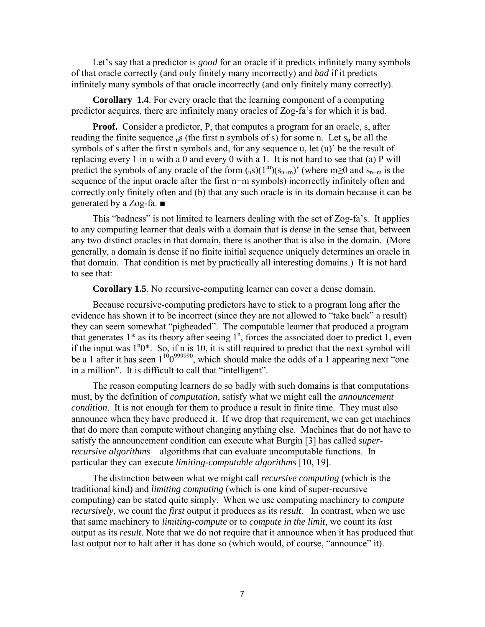Let's say that a predictor is *good* for an oracle if it predicts infinitely many symbols of that oracle correctly (and only finitely many incorrectly) and *bad* if it predicts infinitely many symbols of that oracle incorrectly (and only finitely many correctly).

**Corollary 1.4**. For every oracle that the learning component of a computing predictor acquires, there are infinitely many oracles of Zog-faís for which it is bad.

**Proof.** Consider a predictor, P, that computes a program for an oracle, s, after reading the finite sequence  $nS$  (the first n symbols of s) for some n. Let  $S_n$  be all the symbols of s after the first n symbols and, for any sequence u, let  $(u)$  be the result of replacing every 1 in u with a 0 and every 0 with a 1. It is not hard to see that (a) P will predict the symbols of any oracle of the form  $({}_{n}S)(1^{m})(s_{n+m})'$  (where m≥0 and  $s_{n+m}$  is the sequence of the input oracle after the first n+m symbols) incorrectly infinitely often and correctly only finitely often and (b) that any such oracle is in its domain because it can be generated by a Zog-fa. ■

This "badness" is not limited to learners dealing with the set of  $Zoq-fa's$ . It applies to any computing learner that deals with a domain that is *dense* in the sense that, between any two distinct oracles in that domain, there is another that is also in the domain. (More generally, a domain is dense if no finite initial sequence uniquely determines an oracle in that domain. That condition is met by practically all interesting domains.) It is not hard to see that:

**Corollary 1.5**. No recursive-computing learner can cover a dense domain.

Because recursive-computing predictors have to stick to a program long after the evidence has shown it to be incorrect (since they are not allowed to "take back" a result) they can seem somewhat "pigheaded". The computable learner that produced a program that generates  $1^*$  as its theory after seeing  $1^n$ , forces the associated doer to predict 1, even if the input was  $1^n0^*$ . So, if n is 10, it is still required to predict that the next symbol will be a 1 after it has seen  $1^{10}0^{999990}$ , which should make the odds of a 1 appearing next "one in a million". It is difficult to call that "intelligent".

The reason computing learners do so badly with such domains is that computations must, by the definition of *computation*, satisfy what we might call the *announcement condition*. It is not enough for them to produce a result in finite time. They must also announce when they have produced it. If we drop that requirement, we can get machines that do more than compute without changing anything else. Machines that do not have to satisfy the announcement condition can execute what Burgin [3] has called *superrecursive algorithms* – algorithms that can evaluate uncomputable functions. In particular they can execute *limiting-computable algorithms* [10, 19].

The distinction between what we might call *recursive computing* (which is the traditional kind) and *limiting computing* (which is one kind of super-recursive computing) can be stated quite simply. When we use computing machinery to *compute recursively*, we count the *first* output it produces as its *result*. In contrast, when we use that same machinery to *limiting-compute* or to *compute in the limit*, we count its *last* output as its *result*. Note that we do not require that it announce when it has produced that last output nor to halt after it has done so (which would, of course, "announce" it).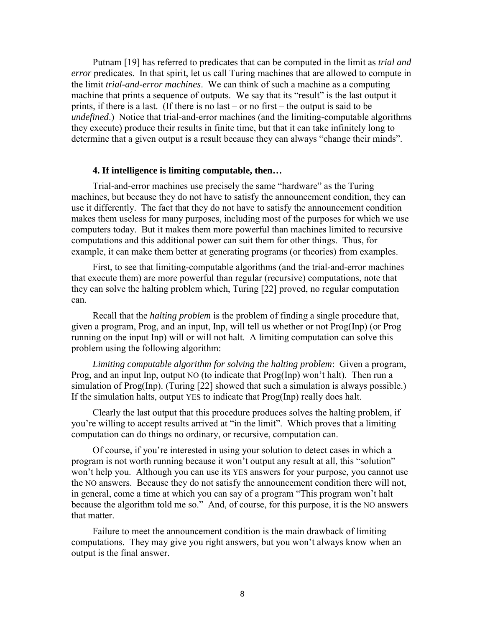Putnam [19] has referred to predicates that can be computed in the limit as *trial and error* predicates. In that spirit, let us call Turing machines that are allowed to compute in the limit *trial-and-error machines*.We can think of such a machine as a computing machine that prints a sequence of outputs. We say that its "result" is the last output it prints, if there is a last. (If there is no last  $-$  or no first  $-$  the output is said to be *undefined*.) Notice that trial-and-error machines (and the limiting*-*computable algorithms they execute) produce their results in finite time, but that it can take infinitely long to determine that a given output is a result because they can always "change their minds".

## **4. If intelligence is limiting computable, then…**

Trial-and-error machines use precisely the same "hardware" as the Turing machines, but because they do not have to satisfy the announcement condition, they can use it differently. The fact that they do not have to satisfy the announcement condition makes them useless for many purposes, including most of the purposes for which we use computers today. But it makes them more powerful than machines limited to recursive computations and this additional power can suit them for other things. Thus, for example, it can make them better at generating programs (or theories) from examples.

First, to see that limiting-computable algorithms (and the trial-and-error machines that execute them) are more powerful than regular (recursive) computations, note that they can solve the halting problem which, Turing [22] proved, no regular computation can.

Recall that the *halting problem* is the problem of finding a single procedure that, given a program, Prog, and an input, Inp, will tell us whether or not Prog(Inp) (or Prog running on the input Inp) will or will not halt. A limiting computation can solve this problem using the following algorithm:

*Limiting computable algorithm for solving the halting problem*: Given a program, Prog, and an input Inp, output NO (to indicate that  $Prog(Imp)$  won't halt). Then run a simulation of Prog(Inp). (Turing [22] showed that such a simulation is always possible.) If the simulation halts, output YES to indicate that Prog(Inp) really does halt.

Clearly the last output that this procedure produces solves the halting problem, if you're willing to accept results arrived at "in the limit". Which proves that a limiting computation can do things no ordinary, or recursive, computation can.

Of course, if you're interested in using your solution to detect cases in which a program is not worth running because it won't output any result at all, this "solution" won't help you. Although you can use its YES answers for your purpose, you cannot use the NO answers. Because they do not satisfy the announcement condition there will not, in general, come a time at which you can say of a program "This program won't halt because the algorithm told me so." And, of course, for this purpose, it is the NO answers that matter.

Failure to meet the announcement condition is the main drawback of limiting computations. They may give you right answers, but you won't always know when an output is the final answer.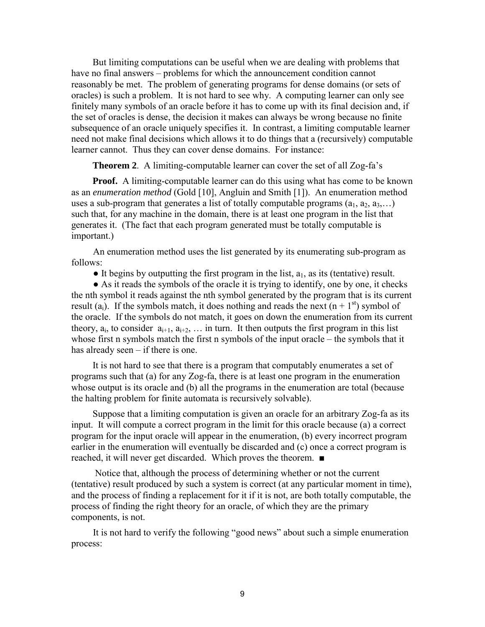But limiting computations can be useful when we are dealing with problems that have no final answers – problems for which the announcement condition cannot reasonably be met. The problem of generating programs for dense domains (or sets of oracles) is such a problem. It is not hard to see why. A computing learner can only see finitely many symbols of an oracle before it has to come up with its final decision and, if the set of oracles is dense, the decision it makes can always be wrong because no finite subsequence of an oracle uniquely specifies it. In contrast, a limiting computable learner need not make final decisions which allows it to do things that a (recursively) computable learner cannot. Thus they can cover dense domains. For instance:

**Theorem 2.** A limiting-computable learner can cover the set of all Zog-fa's

**Proof.** A limiting-computable learner can do this using what has come to be known as an *enumeration method* (Gold [10], Angluin and Smith [1]). An enumeration method uses a sub-program that generates a list of totally computable programs  $(a_1, a_2, a_3,...)$ such that, for any machine in the domain, there is at least one program in the list that generates it. (The fact that each program generated must be totally computable is important.)

An enumeration method uses the list generated by its enumerating sub-program as follows:

 $\bullet$  It begins by outputting the first program in the list,  $a_1$ , as its (tentative) result.

● As it reads the symbols of the oracle it is trying to identify, one by one, it checks the nth symbol it reads against the nth symbol generated by the program that is its current result (a<sub>i</sub>). If the symbols match, it does nothing and reads the next  $(n + 1<sup>st</sup>)$  symbol of the oracle. If the symbols do not match, it goes on down the enumeration from its current theory,  $a_i$ , to consider  $a_{i+1}, a_{i+2}, \ldots$  in turn. It then outputs the first program in this list whose first n symbols match the first n symbols of the input oracle  $-$  the symbols that it has already seen  $-$  if there is one.

It is not hard to see that there is a program that computably enumerates a set of programs such that (a) for any Zog-fa, there is at least one program in the enumeration whose output is its oracle and (b) all the programs in the enumeration are total (because the halting problem for finite automata is recursively solvable).

Suppose that a limiting computation is given an oracle for an arbitrary Zog-fa as its input. It will compute a correct program in the limit for this oracle because (a) a correct program for the input oracle will appear in the enumeration, (b) every incorrect program earlier in the enumeration will eventually be discarded and (c) once a correct program is reached, it will never get discarded. Which proves the theorem. ■

 Notice that, although the process of determining whether or not the current (tentative) result produced by such a system is correct (at any particular moment in time), and the process of finding a replacement for it if it is not, are both totally computable, the process of finding the right theory for an oracle, of which they are the primary components, is not.

It is not hard to verify the following "good news" about such a simple enumeration process: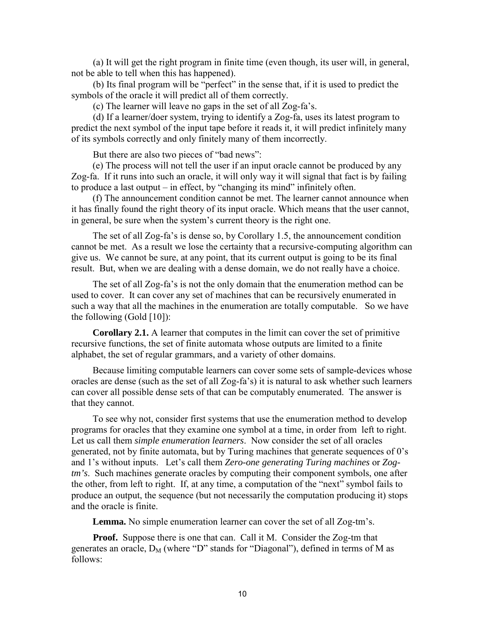(a) It will get the right program in finite time (even though, its user will, in general, not be able to tell when this has happened).

(b) Its final program will be "perfect" in the sense that, if it is used to predict the symbols of the oracle it will predict all of them correctly.

(c) The learner will leave no gaps in the set of all Zog-faís.

(d) If a learner/doer system, trying to identify a Zog-fa, uses its latest program to predict the next symbol of the input tape before it reads it, it will predict infinitely many of its symbols correctly and only finitely many of them incorrectly.

But there are also two pieces of "bad news":

(e) The process will not tell the user if an input oracle cannot be produced by any Zog-fa. If it runs into such an oracle, it will only way it will signal that fact is by failing to produce a last output  $\overline{\phantom{a}}$  in effect, by "changing its mind" infinitely often.

(f) The announcement condition cannot be met. The learner cannot announce when it has finally found the right theory of its input oracle. Which means that the user cannot, in general, be sure when the system's current theory is the right one.

The set of all Zog-faís is dense so, by Corollary 1.5, the announcement condition cannot be met. As a result we lose the certainty that a recursive-computing algorithm can give us. We cannot be sure, at any point, that its current output is going to be its final result. But, when we are dealing with a dense domain, we do not really have a choice.

The set of all Zog-faís is not the only domain that the enumeration method can be used to cover. It can cover any set of machines that can be recursively enumerated in such a way that all the machines in the enumeration are totally computable. So we have the following (Gold  $[10]$ ):

**Corollary 2.1.** A learner that computes in the limit can cover the set of primitive recursive functions, the set of finite automata whose outputs are limited to a finite alphabet, the set of regular grammars, and a variety of other domains.

Because limiting computable learners can cover some sets of sample-devices whose oracles are dense (such as the set of all Zog-fa's) it is natural to ask whether such learners can cover all possible dense sets of that can be computably enumerated. The answer is that they cannot.

To see why not, consider first systems that use the enumeration method to develop programs for oracles that they examine one symbol at a time, in order from left to right. Let us call them *simple enumeration learners*. Now consider the set of all oracles generated, not by finite automata, but by Turing machines that generate sequences of 0's and 1's without inputs. Let's call them *Zero-one generating Turing machines* or *Zogtm's*. Such machines generate oracles by computing their component symbols, one after the other, from left to right. If, at any time, a computation of the "next" symbol fails to produce an output, the sequence (but not necessarily the computation producing it) stops and the oracle is finite.

**Lemma.** No simple enumeration learner can cover the set of all Zog-tm's.

**Proof.** Suppose there is one that can. Call it M. Consider the Zog-tm that generates an oracle,  $D_M$  (where "D" stands for "Diagonal"), defined in terms of M as follows: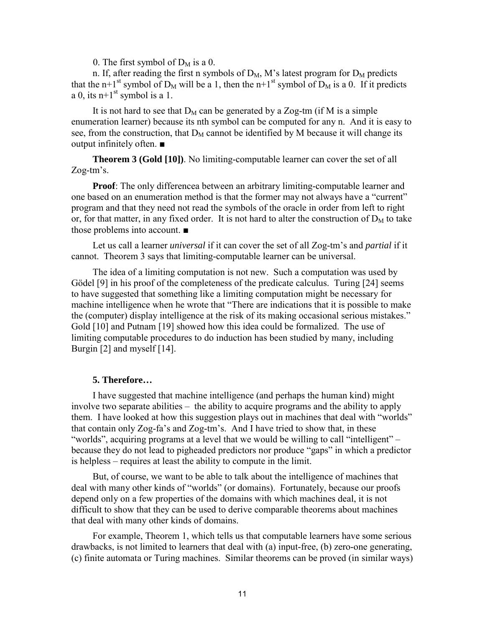0. The first symbol of  $D_M$  is a 0.

n. If, after reading the first n symbols of  $D_M$ , M's latest program for  $D_M$  predicts that the n+1<sup>st</sup> symbol of D<sub>M</sub> will be a 1, then the n+1<sup>st</sup> symbol of D<sub>M</sub> is a 0. If it predicts a 0, its  $n+1$ <sup>st</sup> symbol is a 1.

It is not hard to see that  $D_M$  can be generated by a Zog-tm (if M is a simple enumeration learner) because its nth symbol can be computed for any n. And it is easy to see, from the construction, that  $D_M$  cannot be identified by M because it will change its output infinitely often. ■

**Theorem 3 (Gold [10])**. No limiting-computable learner can cover the set of all  $Zog$ -tm $\delta$ s.

**Proof**: The only differencea between an arbitrary limiting-computable learner and one based on an enumeration method is that the former may not always have a "current" program and that they need not read the symbols of the oracle in order from left to right or, for that matter, in any fixed order. It is not hard to alter the construction of  $D_M$  to take those problems into account. ■

Let us call a learner *universal* if it can cover the set of all Zog-tm's and *partial* if it cannot. Theorem 3 says that limiting-computable learner can be universal.

The idea of a limiting computation is not new. Such a computation was used by Gödel [9] in his proof of the completeness of the predicate calculus. Turing [24] seems to have suggested that something like a limiting computation might be necessary for machine intelligence when he wrote that "There are indications that it is possible to make the (computer) display intelligence at the risk of its making occasional serious mistakes." Gold [10] and Putnam [19] showed how this idea could be formalized. The use of limiting computable procedures to do induction has been studied by many, including Burgin [2] and myself [14].

## **5. Therefore…**

I have suggested that machine intelligence (and perhaps the human kind) might involve two separate abilities  $-\theta$  the ability to acquire programs and the ability to apply them. I have looked at how this suggestion plays out in machines that deal with "worlds" that contain only Zog-fa's and Zog-tm's. And I have tried to show that, in these "worlds", acquiring programs at a level that we would be willing to call "intelligent" – because they do not lead to pigheaded predictors nor produce "gaps" in which a predictor is helpless – requires at least the ability to compute in the limit.

But, of course, we want to be able to talk about the intelligence of machines that deal with many other kinds of "worlds" (or domains). Fortunately, because our proofs depend only on a few properties of the domains with which machines deal, it is not difficult to show that they can be used to derive comparable theorems about machines that deal with many other kinds of domains.

For example, Theorem 1, which tells us that computable learners have some serious drawbacks, is not limited to learners that deal with (a) input-free, (b) zero-one generating, (c) finite automata or Turing machines. Similar theorems can be proved (in similar ways)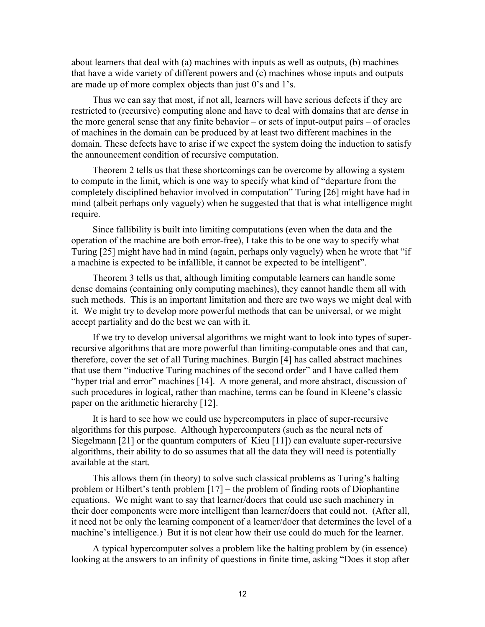about learners that deal with (a) machines with inputs as well as outputs, (b) machines that have a wide variety of different powers and (c) machines whose inputs and outputs are made up of more complex objects than just  $0$ 's and  $1$ 's.

Thus we can say that most, if not all, learners will have serious defects if they are restricted to (recursive) computing alone and have to deal with domains that are *dense* in the more general sense that any finite behavior  $-$  or sets of input-output pairs  $-$  of oracles of machines in the domain can be produced by at least two different machines in the domain. These defects have to arise if we expect the system doing the induction to satisfy the announcement condition of recursive computation.

Theorem 2 tells us that these shortcomings can be overcome by allowing a system to compute in the limit, which is one way to specify what kind of "departure from the completely disciplined behavior involved in computation" Turing [26] might have had in mind (albeit perhaps only vaguely) when he suggested that that is what intelligence might require.

Since fallibility is built into limiting computations (even when the data and the operation of the machine are both error-free), I take this to be one way to specify what Turing [25] might have had in mind (again, perhaps only vaguely) when he wrote that "if a machine is expected to be infallible, it cannot be expected to be intelligent".

Theorem 3 tells us that, although limiting computable learners can handle some dense domains (containing only computing machines), they cannot handle them all with such methods. This is an important limitation and there are two ways we might deal with it. We might try to develop more powerful methods that can be universal, or we might accept partiality and do the best we can with it.

If we try to develop universal algorithms we might want to look into types of superrecursive algorithms that are more powerful than limiting-computable ones and that can, therefore, cover the set of all Turing machines. Burgin [4] has called abstract machines that use them "inductive Turing machines of the second order" and I have called them "hyper trial and error" machines [14]. A more general, and more abstract, discussion of such procedures in logical, rather than machine, terms can be found in Kleene's classic paper on the arithmetic hierarchy [12].

It is hard to see how we could use hypercomputers in place of super-recursive algorithms for this purpose. Although hypercomputers (such as the neural nets of Siegelmann [21] or the quantum computers of Kieu [11]) can evaluate super-recursive algorithms, their ability to do so assumes that all the data they will need is potentially available at the start.

This allows them (in theory) to solve such classical problems as Turing's halting problem or Hilbert's tenth problem  $[17]$  – the problem of finding roots of Diophantine equations. We might want to say that learner/doers that could use such machinery in their doer components were more intelligent than learner/doers that could not. (After all, it need not be only the learning component of a learner/doer that determines the level of a machine's intelligence.) But it is not clear how their use could do much for the learner.

A typical hypercomputer solves a problem like the halting problem by (in essence) looking at the answers to an infinity of questions in finite time, asking "Does it stop after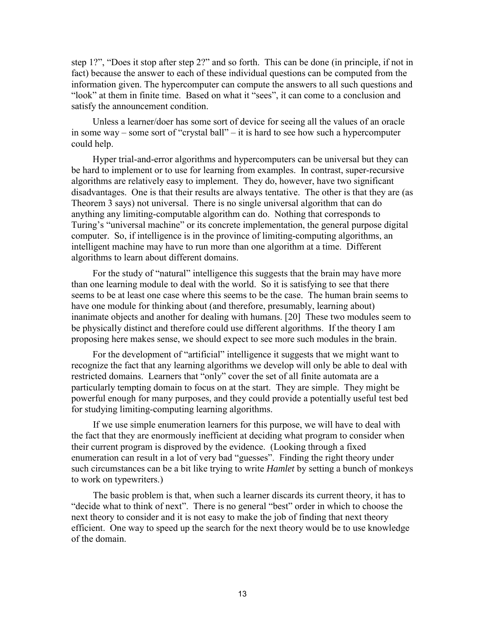step 1?", "Does it stop after step 2?" and so forth. This can be done (in principle, if not in fact) because the answer to each of these individual questions can be computed from the information given. The hypercomputer can compute the answers to all such questions and "look" at them in finite time. Based on what it "sees", it can come to a conclusion and satisfy the announcement condition.

Unless a learner/doer has some sort of device for seeing all the values of an oracle in some way  $-$  some sort of "crystal ball"  $-$  it is hard to see how such a hypercomputer could help.

Hyper trial-and-error algorithms and hypercomputers can be universal but they can be hard to implement or to use for learning from examples. In contrast, super-recursive algorithms are relatively easy to implement. They do, however, have two significant disadvantages. One is that their results are always tentative. The other is that they are (as Theorem 3 says) not universal. There is no single universal algorithm that can do anything any limiting-computable algorithm can do. Nothing that corresponds to Turing's "universal machine" or its concrete implementation, the general purpose digital computer. So, if intelligence is in the province of limiting-computing algorithms, an intelligent machine may have to run more than one algorithm at a time. Different algorithms to learn about different domains.

For the study of "natural" intelligence this suggests that the brain may have more than one learning module to deal with the world. So it is satisfying to see that there seems to be at least one case where this seems to be the case. The human brain seems to have one module for thinking about (and therefore, presumably, learning about) inanimate objects and another for dealing with humans. [20] These two modules seem to be physically distinct and therefore could use different algorithms. If the theory I am proposing here makes sense, we should expect to see more such modules in the brain.

For the development of "artificial" intelligence it suggests that we might want to recognize the fact that any learning algorithms we develop will only be able to deal with restricted domains. Learners that "only" cover the set of all finite automata are a particularly tempting domain to focus on at the start. They are simple. They might be powerful enough for many purposes, and they could provide a potentially useful test bed for studying limiting-computing learning algorithms.

If we use simple enumeration learners for this purpose, we will have to deal with the fact that they are enormously inefficient at deciding what program to consider when their current program is disproved by the evidence. (Looking through a fixed enumeration can result in a lot of very bad "guesses". Finding the right theory under such circumstances can be a bit like trying to write *Hamlet* by setting a bunch of monkeys to work on typewriters.)

The basic problem is that, when such a learner discards its current theory, it has to "decide what to think of next". There is no general "best" order in which to choose the next theory to consider and it is not easy to make the job of finding that next theory efficient. One way to speed up the search for the next theory would be to use knowledge of the domain.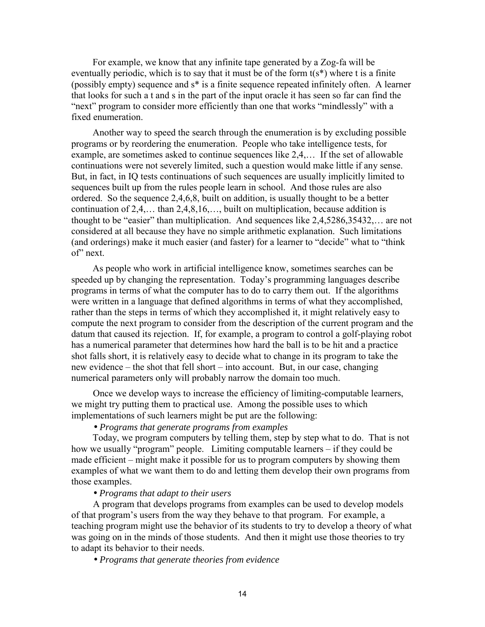For example, we know that any infinite tape generated by a Zog-fa will be eventually periodic, which is to say that it must be of the form  $t(s^*)$  where t is a finite (possibly empty) sequence and s\* is a finite sequence repeated infinitely often. A learner that looks for such a t and s in the part of the input oracle it has seen so far can find the "next" program to consider more efficiently than one that works "mindlessly" with a fixed enumeration.

Another way to speed the search through the enumeration is by excluding possible programs or by reordering the enumeration. People who take intelligence tests, for example, are sometimes asked to continue sequences like  $2.4\dots$  If the set of allowable continuations were not severely limited, such a question would make little if any sense. But, in fact, in IQ tests continuations of such sequences are usually implicitly limited to sequences built up from the rules people learn in school. And those rules are also ordered. So the sequence 2,4,6,8, built on addition, is usually thought to be a better continuation of  $2,4,...$  than  $2,4,8,16,...$ , built on multiplication, because addition is thought to be "easier" than multiplication. And sequences like  $2,4,5286,35432,...$  are not considered at all because they have no simple arithmetic explanation. Such limitations (and orderings) make it much easier (and faster) for a learner to "decide" what to "think of' next.

As people who work in artificial intelligence know, sometimes searches can be speeded up by changing the representation. Today's programming languages describe programs in terms of what the computer has to do to carry them out. If the algorithms were written in a language that defined algorithms in terms of what they accomplished, rather than the steps in terms of which they accomplished it, it might relatively easy to compute the next program to consider from the description of the current program and the datum that caused its rejection. If, for example, a program to control a golf-playing robot has a numerical parameter that determines how hard the ball is to be hit and a practice shot falls short, it is relatively easy to decide what to change in its program to take the new evidence – the shot that fell short – into account. But, in our case, changing numerical parameters only will probably narrow the domain too much.

Once we develop ways to increase the efficiency of limiting-computable learners, we might try putting them to practical use. Among the possible uses to which implementations of such learners might be put are the following:

## • *Programs that generate programs from examples*

Today, we program computers by telling them, step by step what to do. That is not how we usually "program" people. Limiting computable learners – if they could be made efficient – might make it possible for us to program computers by showing them examples of what we want them to do and letting them develop their own programs from those examples.

## • *Programs that adapt to their users*

A program that develops programs from examples can be used to develop models of that programís users from the way they behave to that program. For example, a teaching program might use the behavior of its students to try to develop a theory of what was going on in the minds of those students. And then it might use those theories to try to adapt its behavior to their needs.

• *Programs that generate theories from evidence*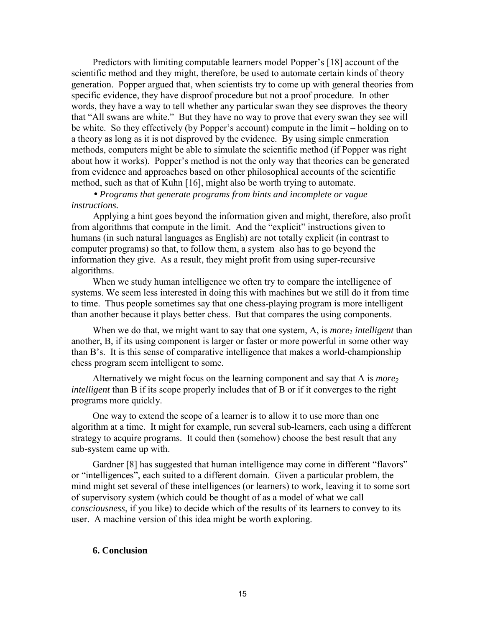Predictors with limiting computable learners model Popper's [18] account of the scientific method and they might, therefore, be used to automate certain kinds of theory generation. Popper argued that, when scientists try to come up with general theories from specific evidence, they have disproof procedure but not a proof procedure. In other words, they have a way to tell whether any particular swan they see disproves the theory that "All swans are white." But they have no way to prove that every swan they see will be white. So they effectively (by Popper's account) compute in the limit – holding on to a theory as long as it is not disproved by the evidence. By using simple enmeration methods, computers might be able to simulate the scientific method (if Popper was right about how it works). Popper's method is not the only way that theories can be generated from evidence and approaches based on other philosophical accounts of the scientific method, such as that of Kuhn [16], might also be worth trying to automate.

# • *Programs that generate programs from hints and incomplete or vague instructions.*

Applying a hint goes beyond the information given and might, therefore, also profit from algorithms that compute in the limit. And the "explicit" instructions given to humans (in such natural languages as English) are not totally explicit (in contrast to computer programs) so that, to follow them, a system also has to go beyond the information they give. As a result, they might profit from using super-recursive algorithms.

When we study human intelligence we often try to compare the intelligence of systems. We seem less interested in doing this with machines but we still do it from time to time. Thus people sometimes say that one chess-playing program is more intelligent than another because it plays better chess. But that compares the using components.

When we do that, we might want to say that one system,  $A$ , is *more<sub>1</sub> intelligent* than another, B, if its using component is larger or faster or more powerful in some other way than B's. It is this sense of comparative intelligence that makes a world-championship chess program seem intelligent to some.

Alternatively we might focus on the learning component and say that A is *more*<sub>2</sub> *intelligent* than B if its scope properly includes that of B or if it converges to the right programs more quickly.

One way to extend the scope of a learner is to allow it to use more than one algorithm at a time. It might for example, run several sub-learners, each using a different strategy to acquire programs. It could then (somehow) choose the best result that any sub-system came up with.

Gardner [8] has suggested that human intelligence may come in different "flavors" or "intelligences", each suited to a different domain. Given a particular problem, the mind might set several of these intelligences (or learners) to work, leaving it to some sort of supervisory system (which could be thought of as a model of what we call *consciousness*, if you like) to decide which of the results of its learners to convey to its user. A machine version of this idea might be worth exploring.

#### **6. Conclusion**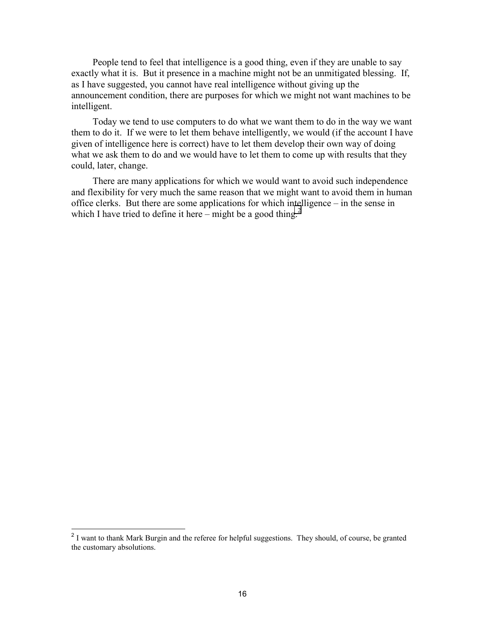People tend to feel that intelligence is a good thing, even if they are unable to say exactly what it is. But it presence in a machine might not be an unmitigated blessing. If, as I have suggested, you cannot have real intelligence without giving up the announcement condition, there are purposes for which we might not want machines to be intelligent.

Today we tend to use computers to do what we want them to do in the way we want them to do it. If we were to let them behave intelligently, we would (if the account I have given of intelligence here is correct) have to let them develop their own way of doing what we ask them to do and we would have to let them to come up with results that they could, later, change.

There are many applications for which we would want to avoid such independence and flexibility for very much the same reason that we might want to avoid them in human office clerks. But there are some applications for which intelligence  $-$  in the sense in which I have tried to define it here – might be a good thing.<sup>2</sup>

l

 $2$  I want to thank Mark Burgin and the referee for helpful suggestions. They should, of course, be granted the customary absolutions.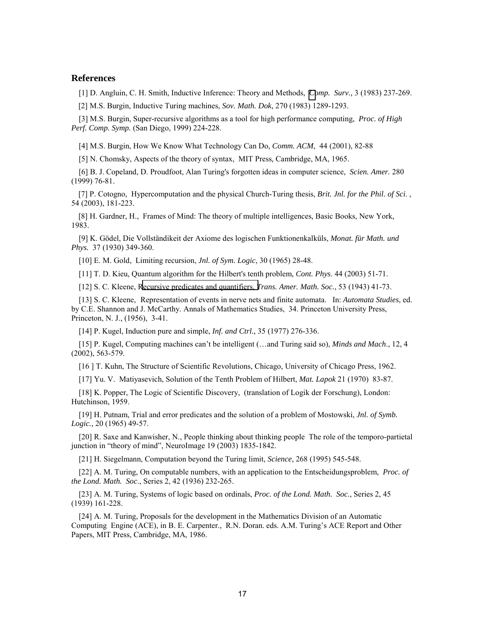#### **References**

[1] D. Angluin, C. H. Smith, Inductive Inference: Theory and Methods, *[Co](http://www.informatik.uni-trier.de/%7Eley/db/journals/csur/csur15.html#AngluinS83)mp. Surv.,* 3 (1983) 237-269.

[2] M.S. Burgin, Inductive Turing machines, *Sov. Math. Dok*, 270 (1983) 1289-1293.

[3] M.S. Burgin, Super-recursive algorithms as a tool for high performance computing, *Proc. of High Perf. Comp. Symp.* (San Diego, 1999) 224-228.

[4] M.S. Burgin, How We Know What Technology Can Do, *Comm. ACM*, 44 (2001), 82-88

[5] N. Chomsky, Aspects of the theory of syntax, MIT Press, Cambridge, MA, 1965.

[6] B. J. Copeland, D. Proudfoot, Alan Turing's forgotten ideas in computer science, *Scien. Amer.* 280 (1999) 76-81.

[7] P. Cotogno, Hypercomputation and the physical Church-Turing thesis, *Brit. Jnl. for the Phil. of Sci*. , 54 (2003), 181-223.

[8] H. Gardner, H., Frames of Mind: The theory of multiple intelligences*,* Basic Books, New York, 1983.

[9] K. Gödel, Die Vollständikeit der Axiome des logischen Funktionenkalküls, *Monat. für Math. und Phys.* 37 (1930) 349-360.

[10] E. M. Gold, Limiting recursion, *Jnl. of Sym. Logic*, 30 (1965) 28-48.

[11] T. D. Kieu, Quantum algorithm for the Hilbert's tenth problem, *Cont. Phys*. 44 (2003) 51-71.

[12] S. C. Kleene, [Recursive predicates and quantifiers.](http://links.jstor.org/sici?sici=0002-9947%28194301%2953%3A1%3C41%3ARPAQ%3E2.0.CO%3B2-C) *Trans. Amer. Math. Soc.*, 53 (1943) 41-73.

[13] S. C. Kleene, Representation of events in nerve nets and finite automata. In: *Automata Studies*, ed. by C.E. Shannon and J. McCarthy. Annals of Mathematics Studies, 34. Princeton University Press, Princeton, N. J., (1956), 3-41.

[14] P. Kugel, Induction pure and simple, *Inf. and Ctrl.,* 35 (1977) 276-336.

[15] P. Kugel, Computing machines can't be intelligent (...and Turing said so), *Minds and Mach.*, 12, 4 (2002), 563-579.

[16 ] T. Kuhn, The Structure of Scientific Revolutions, Chicago, University of Chicago Press, 1962.

[17] Yu. V. Matiyasevich, Solution of the Tenth Problem of Hilbert, *Mat. Lapok* 21 (1970) 83-87.

[18] K. Popper, The Logic of Scientific Discovery, (translation of Logik der Forschung), London: Hutchinson, 1959.

[19] H. Putnam, Trial and error predicates and the solution of a problem of Mostowski, *Jnl. of Symb. Logic.,* 20 (1965) 49-57.

[20] R. Saxe and Kanwisher, N., People thinking about thinking people The role of the temporo-partietal junction in "theory of mind", NeuroImage  $19 (2003) 1835-1842$ .

[21] H. Siegelmann, Computation beyond the Turing limit, *Science*, 268 (1995) 545-548.

[22] A. M. Turing, On computable numbers, with an application to the Entscheidungsproblem, *Proc. of the Lond. Math. Soc*., Series 2, 42 (1936) 232-265.

[23] A. M. Turing, Systems of logic based on ordinals, *Proc. of the Lond. Math. Soc.*, Series 2, 45 (1939) 161-228.

[24] A. M. Turing, Proposals for the development in the Mathematics Division of an Automatic Computing Engine (ACE), in B. E. Carpenter., R.N. Doran. eds. A.M. Turing's ACE Report and Other Papers, MIT Press, Cambridge, MA, 1986.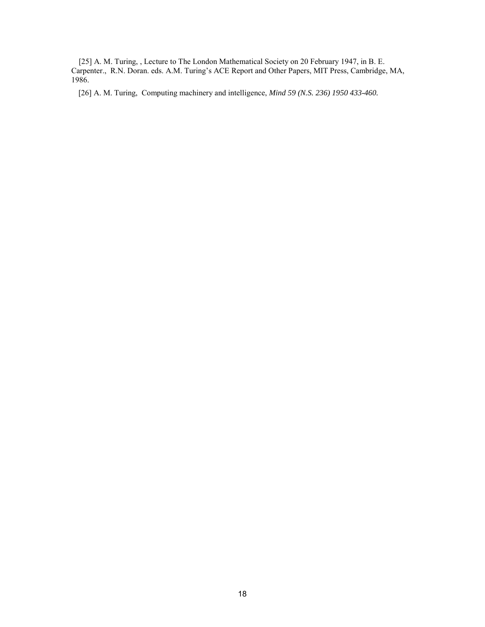[25] A. M. Turing, , Lecture to The London Mathematical Society on 20 February 1947, in B. E. Carpenter., R.N. Doran. eds. A.M. Turing's ACE Report and Other Papers, MIT Press, Cambridge, MA, 1986.

[26] A. M. Turing, Computing machinery and intelligence, *Mind 59 (N.S. 236) 1950 433-460.*